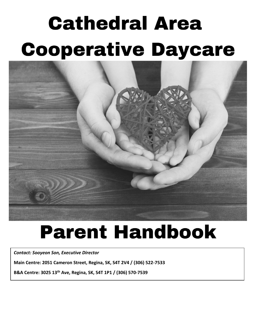# **Cathedral Area Cooperative Daycare**



## **Parent Handbook**

*Contact: Sooyeon Son, Executive Director*

**Main Centre: 2051 Cameron Street, Regina, SK, S4T 2V4 / (306) 522-7533**

**B&A Centre: 3025 13th Ave, Regina, SK, S4T 1P1 / (306) 570-7539**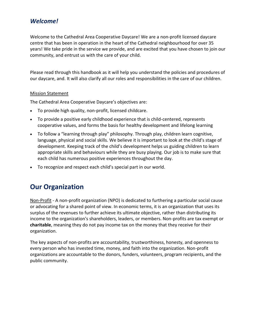## *Welcome!*

Welcome to the Cathedral Area Cooperative Daycare! We are a non-profit licensed daycare centre that has been in operation in the heart of the Cathedral neighbourhood for over 35 years! We take pride in the service we provide, and are excited that you have chosen to join our community, and entrust us with the care of your child.

Please read through this handbook as it will help you understand the policies and procedures of our daycare, and. It will also clarify all our roles and responsibilities in the care of our children.

#### Mission Statement

The Cathedral Area Cooperative Daycare's objectives are:

- To provide high quality, non-profit, licensed childcare.
- To provide a positive early childhood experience that is child-centered, represents cooperative values, and forms the basis for healthy development and lifelong learning
- To follow a "learning through play" philosophy. Through play, children learn cognitive, language, physical and social skills. We believe it is important to look at the child's stage of development. Keeping track of the child's development helps us guiding children to learn appropriate skills and behaviours while they are busy playing. Our job is to make sure that each child has numerous positive experiences throughout the day.
- To recognize and respect each child's special part in our world.

## **Our Organization**

Non-Profit - A non-profit organization (NPO) is dedicated to furthering a particular social cause or advocating for a shared point of view. In economic terms, it is an organization that uses its surplus of the revenues to further achieve its ultimate objective, rather than distributing its income to the organization's shareholders, leaders, or members. Non-profits are tax exempt or **charitable**, meaning they do not pay income tax on the money that they receive for their organization.

The key aspects of non-profits are accountability, trustworthiness, honesty, and openness to every person who has invested time, money, and faith into the organization. Non-profit organizations are accountable to the donors, funders, volunteers, program recipients, and the public community.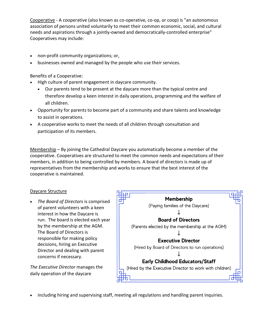Cooperative - A cooperative (also known as co-operative, co-op, or coop) is "an autonomous association of persons united voluntarily to meet their common economic, social, and cultural needs and aspirations through a jointly-owned and democratically-controlled enterprise" Cooperatives may include:

- non-profit community organizations; or,
- businesses owned and managed by the people who use their services.

Benefits of a Cooperative:

- High culture of parent engagement in daycare community.
	- Our parents tend to be present at the daycare more than the typical centre and therefore develop a keen interest in daily operations, programming and the welfare of all children.
- Opportunity for parents to become part of a community and share talents and knowledge to assist in operations.
- A cooperative works to meet the needs of all children through consultation and participation of its members.

Membership – By joining the Cathedral Daycare you automatically become a member of the cooperative. Cooperatives are structured to meet the common needs and expectations of their members, in addition to being controlled by members. A board of directors is made up of representatives from the membership and works to ensure that the best interest of the cooperative is maintained.

#### Daycare Structure

• *The Board of Directors* is comprised of parent volunteers with a keen interest in how the Daycare is run. The board is elected each year by the membership at the AGM. The Board of Directors is responsible for making policy decisions, hiring an Executive Director and dealing with parent concerns if necessary.

*The Executive Director* manages the daily operation of the daycare



• including hiring and supervising staff, meeting all regulations and handling parent inquiries.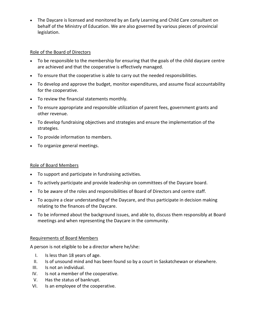• The Daycare is licensed and monitored by an Early Learning and Child Care consultant on behalf of the Ministry of Education. We are also governed by various pieces of provincial legislation.

#### Role of the Board of Directors

- To be responsible to the membership for ensuring that the goals of the child daycare centre are achieved and that the cooperative is effectively managed.
- To ensure that the cooperative is able to carry out the needed responsibilities.
- To develop and approve the budget, monitor expenditures, and assume fiscal accountability for the cooperative.
- To review the financial statements monthly.
- To ensure appropriate and responsible utilization of parent fees, government grants and other revenue.
- To develop fundraising objectives and strategies and ensure the implementation of the strategies.
- To provide information to members.
- To organize general meetings.

#### Role of Board Members

- To support and participate in fundraising activities.
- To actively participate and provide leadership on committees of the Daycare board.
- To be aware of the roles and responsibilities of Board of Directors and centre staff.
- To acquire a clear understanding of the Daycare, and thus participate in decision making relating to the finances of the Daycare.
- To be informed about the background issues, and able to, discuss them responsibly at Board meetings and when representing the Daycare in the community.

#### Requirements of Board Members

A person is not eligible to be a director where he/she:

- I. Is less than 18 years of age.
- II. Is of unsound mind and has been found so by a court in Saskatchewan or elsewhere.
- III. Is not an individual.
- IV. Is not a member of the cooperative.
- V. Has the status of bankrupt.
- VI. Is an employee of the cooperative.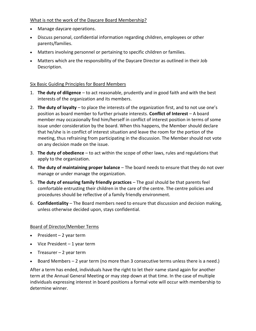#### What is not the work of the Daycare Board Membership?

- Manage daycare operations.
- Discuss personal, confidential information regarding children, employees or other parents/families.
- Matters involving personnel or pertaining to specific children or families.
- Matters which are the responsibility of the Daycare Director as outlined in their Job Description.

#### Six Basic Guiding Principles for Board Members

- 1. **The duty of diligence** to act reasonable, prudently and in good faith and with the best interests of the organization and its members.
- 2. **The duty of loyalty** to place the interests of the organization first, and to not use one's position as board member to further private interests. **Conflict of Interest** – A board member may occasionally find him/herself in conflict of interest position in terms of some issue under consideration by the board. When this happens, the Member should declare that he/she is in conflict of interest situation and leave the room for the portion of the meeting, thus refraining from participating in the discussion. The Member should not vote on any decision made on the issue.
- 3. **The duty of obedience** to act within the scope of other laws, rules and regulations that apply to the organization.
- 4. **The duty of maintaining proper balance** The board needs to ensure that they do not over manage or under manage the organization.
- 5. **The duty of ensuring family friendly practices** The goal should be that parents feel comfortable entrusting their children in the care of the centre. The centre policies and procedures should be reflective of a family friendly environment.
- 6. **Confidentiality**  The Board members need to ensure that discussion and decision making, unless otherwise decided upon, stays confidential.

#### Board of Director/Member Terms

- $\bullet$  President 2 year term
- Vice President 1 year term
- Treasurer 2 year term
- Board Members 2 year term (no more than 3 consecutive terms unless there is a need.)

After a term has ended, individuals have the right to let their name stand again for another term at the Annual General Meeting or may step down at that time. In the case of multiple individuals expressing interest in board positions a formal vote will occur with membership to determine winner.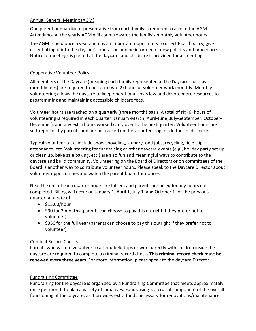#### Annual General Meeting (AGM)

One parent or guardian representative from each family is required to attend the AGM. Attendance at the yearly AGM will count towards the family's monthly volunteer hours.

The AGM is held once a year and it is an important opportunity to direct Board policy, give essential input into the daycare's operation and be informed of new policies and procedures. Notice of meetings is posted at the daycare, and childcare is provided for all meetings.

#### Cooperative Volunteer Policy

All members of the Daycare (meaning each family represented at the Daycare that pays monthly fees) are required to perform two (2) hours of volunteer work monthly. Monthly volunteering allows the daycare to keep operational costs low and devote more resources to programming and maintaining accessible childcare fees.

Volunteer hours are tracked on a quarterly (three month) basis. A total of six (6) hours of volunteering is required in each quarter (January-March, April-June, July-September, October-December), and any extra hours worked carry over to the next quarter. Volunteer hours are self-reported by parents and are be tracked on the volunteer log inside the child's locker.

Typical volunteer tasks include snow shoveling, laundry, odd jobs, recycling, field trip attendance, etc. Volunteering for fundraising or other daycare events (e.g., holiday party set up or clean up, bake sale baking, etc.) are also fun and meaningful ways to contribute to the daycare and build community. Volunteering on the Board of Directors or on committees of the Board is another way to contribute volunteer hours. Please speak to the Daycare Director about volunteer opportunities and watch the parent board for notices.

Near the end of each quarter hours are tallied, and parents are billed for any hours not completed. Billing will occur on January 1, April 1, July 1, and October 1 for the previous quarter, at a rate of:

- \$15.00/hour
- \$90 for 3 months (parents can choose to pay this outright if they prefer not to volunteer)
- \$350 for the full year (parents can choose to pay this outright if they prefer not to volunteer)

#### Criminal Record Checks

Parents who wish to volunteer to attend field trips or work directly with children inside the daycare are required to complete a criminal record check**. This criminal record check must be renewed every three years**. For more information, please speak to the daycare Director.

#### Fundraising Committee

Fundraising for the daycare is organized by a Fundraising Committee that meets approximately once per month to plan a variety of initiatives. Fundraising is a crucial component of the overall functioning of the daycare, as it provides extra funds necessary for renovations/maintenance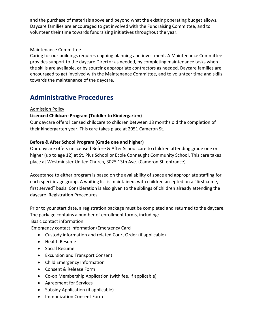and the purchase of materials above and beyond what the existing operating budget allows. Daycare families are encouraged to get involved with the Fundraising Committee, and to volunteer their time towards fundraising initiatives throughout the year.

#### Maintenance Committee

Caring for our buildings requires ongoing planning and investment. A Maintenance Committee provides support to the daycare Director as needed, by completing maintenance tasks when the skills are available, or by sourcing appropriate contractors as needed. Daycare families are encouraged to get involved with the Maintenance Committee, and to volunteer time and skills towards the maintenance of the daycare.

## **Administrative Procedures**

#### Admission Policy

#### **Licenced Childcare Program (Toddler to Kindergarten)**

Our daycare offers licensed childcare to children between 18 months old the completion of their kindergarten year. This care takes place at 2051 Cameron St.

#### **Before & After School Program (Grade one and higher)**

Our daycare offers unlicensed Before & After School care to children attending grade one or higher (up to age 12) at St. Pius School or Ecole Connaught Community School. This care takes place at Westminster United Church, 3025 13th Ave. (Cameron St. entrance).

Acceptance to either program is based on the availability of space and appropriate staffing for each specific age group. A waiting list is maintained, with children accepted on a "first come, first served" basis. Consideration is also given to the siblings of children already attending the daycare. Registration Procedures

Prior to your start date, a registration package must be completed and returned to the daycare. The package contains a number of enrollment forms, including:

#### Basic contact information

Emergency contact information/Emergency Card

- Custody information and related Court Order (if applicable)
- Health Resume
- Social Resume
- Excursion and Transport Consent
- Child Emergency Information
- Consent & Release Form
- Co-op Membership Application (with fee, if applicable)
- Agreement for Services
- Subsidy Application (if applicable)
- Immunization Consent Form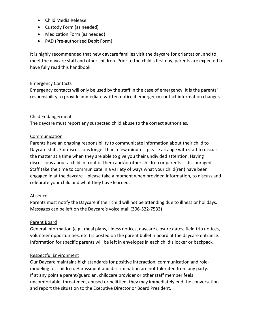- Child Media Release
- Custody Form (as needed)
- Medication Form (as needed)
- PAD (Pre-authorised Debit Form)

It is highly recommended that new daycare families visit the daycare for orientation, and to meet the daycare staff and other children. Prior to the child's first day, parents are expected to have fully read this handbook.

#### Emergency Contacts

Emergency contacts will only be used by the staff in the case of emergency. It is the parents' responsibility to provide immediate written notice if emergency contact information changes.

#### Child Endangerment

The daycare must report any suspected child abuse to the correct authorities.

#### Communication

Parents have an ongoing responsibility to communicate information about their child to Daycare staff. For discussions longer than a few minutes, please arrange with staff to discuss the matter at a time when they are able to give you their undivided attention. Having discussions about a child in front of them and/or other children or parents is discouraged. Staff take the time to communicate in a variety of ways what your child(ren) have been engaged in at the daycare – please take a moment when provided information, to discuss and celebrate your child and what they have learned.

#### Absence

Parents must notify the Daycare if their child will not be attending due to illness or holidays. Messages can be left on the Daycare's voice mail (306-522-7533)

#### Parent Board

General information (e.g., meal plans, illness notices, daycare closure dates, field trip notices, volunteer opportunities, etc.) is posted on the parent bulletin board at the daycare entrance. Information for specific parents will be left in envelopes in each child's locker or backpack.

#### Respectful Environment

Our Daycare maintains high standards for positive interaction, communication and rolemodeling for children. Harassment and discrimination are not tolerated from any party. If at any point a parent/guardian, childcare provider or other staff member feels uncomfortable, threatened, abused or belittled, they may immediately end the conversation and report the situation to the Executive Director or Board President.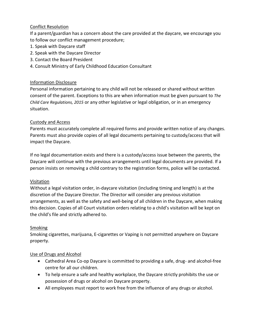#### Conflict Resolution

If a parent/guardian has a concern about the care provided at the daycare, we encourage you to follow our conflict management procedure;

- 1. Speak with Daycare staff
- 2. Speak with the Daycare Director
- 3. Contact the Board President
- 4. Consult Ministry of Early Childhood Education Consultant

#### Information Disclosure

Personal information pertaining to any child will not be released or shared without written consent of the parent. Exceptions to this are when information must be given pursuant to *The Child Care Regulations, 2015* or any other legislative or legal obligation, or in an emergency situation.

#### Custody and Access

Parents must accurately complete all required forms and provide written notice of any changes. Parents must also provide copies of all legal documents pertaining to custody/access that will impact the Daycare.

If no legal documentation exists and there is a custody/access issue between the parents, the Daycare will continue with the previous arrangements until legal documents are provided. If a person insists on removing a child contrary to the registration forms, police will be contacted.

#### Visitation

Without a legal visitation order, in-daycare visitation (including timing and length) is at the discretion of the Daycare Director. The Director will consider any previous visitation arrangements, as well as the safety and well-being of all children in the Daycare, when making this decision. Copies of all Court visitation orders relating to a child's visitation will be kept on the child's file and strictly adhered to.

#### Smoking

Smoking cigarettes, marijuana, E-cigarettes or Vaping is not permitted anywhere on Daycare property.

#### Use of Drugs and Alcohol

- Cathedral Area Co-op Daycare is committed to providing a safe, drug- and alcohol-free centre for all our children.
- To help ensure a safe and healthy workplace, the Daycare strictly prohibits the use or possession of drugs or alcohol on Daycare property.
- All employees must report to work free from the influence of any drugs or alcohol.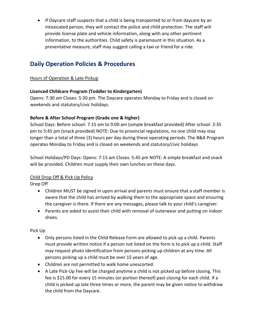• If Daycare staff suspects that a child is being transported to or from daycare by an intoxicated person, they will contact the police and child protection. The staff will provide license plate and vehicle information, along with any other pertinent information, to the authorities. Child safety is paramount in this situation. As a preventative measure, staff may suggest calling a taxi or friend for a ride.

## **Daily Operation Policies & Procedures**

#### Hours of Operation & Late Pickup

#### **Licenced Childcare Program (Toddler to Kindergarten)**

Opens: 7:30 am Closes: 5:30 pm. The Daycare operates Monday to Friday and is closed on weekends and statutory/civic holidays.

#### **Before & After School Program (Grade one & higher)**

School Days: Before school: 7:15 am to 9:00 am (simple breakfast provided) After school: 3:35 pm to 5:45 pm (snack provided) NOTE: Due to provincial regulations, no one child may stay longer than a total of three (3) hours per day during these operating periods. The B&A Program operates Monday to Friday and is closed on weekends and statutory/civic holidays

School Holidays/PD Days: Opens: 7:15 am Closes: 5:45 pm NOTE: A simple breakfast and snack will be provided. Children must supply their own lunches on these days.

#### Child Drop Off & Pick Up Policy

Drop Off

- Children MUST be signed in upon arrival and parents must ensure that a staff member is aware that the child has arrived by walking them to the appropriate space and ensuring the caregiver is there. If there are any messages, please talk to your child's caregiver.
- Parents are asked to assist their child with removal of outerwear and putting on indoor shoes.

Pick Up

- Only persons listed in the Child Release Form are allowed to pick up a child. Parents must provide written notice if a person not listed on the form is to pick up a child. Staff may request photo identification from persons picking up children at any time. All persons picking up a child must be over 15 years of age.
- Children are not permitted to walk home unescorted.
- A Late Pick-Up Fee will be charged anytime a child is not picked up before closing. This fee is \$15.00 for every 15 minutes (or portion thereof) past closing for each child. If a child is picked up late three times or more, the parent may be given notice to withdraw the child from the Daycare.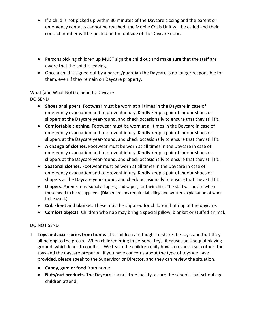- If a child is not picked up within 30 minutes of the Daycare closing and the parent or emergency contacts cannot be reached, the Mobile Crisis Unit will be called and their contact number will be posted on the outside of the Daycare door.
- Persons picking children up MUST sign the child out and make sure that the staff are aware that the child is leaving.
- Once a child is signed out by a parent/guardian the Daycare is no longer responsible for them, even if they remain on Daycare property.

#### What (and What Not) to Send to Daycare

DO SEND

- **Shoes or slippers.** Footwear must be worn at all times in the Daycare in case of emergency evacuation and to prevent injury. Kindly keep a pair of indoor shoes or slippers at the Daycare year-round, and check occasionally to ensure that they still fit.
- **Comfortable clothing.** Footwear must be worn at all times in the Daycare in case of emergency evacuation and to prevent injury. Kindly keep a pair of indoor shoes or slippers at the Daycare year-round, and check occasionally to ensure that they still fit.
- **A change of clothes**. Footwear must be worn at all times in the Daycare in case of emergency evacuation and to prevent injury. Kindly keep a pair of indoor shoes or slippers at the Daycare year-round, and check occasionally to ensure that they still fit.
- **Seasonal clothes.** Footwear must be worn at all times in the Daycare in case of emergency evacuation and to prevent injury. Kindly keep a pair of indoor shoes or slippers at the Daycare year-round, and check occasionally to ensure that they still fit.
- **Diapers**. Parents must supply diapers, and wipes, for their child. The staff will advise when these need to be resupplied. (Diaper creams require labelling and written explanation of when to be used.)
- **Crib sheet and blanket**. These must be supplied for children that nap at the daycare.
- **Comfort objects**. Children who nap may bring a special pillow, blanket or stuffed animal.

#### DO NOT SEND

- 1. **Toys and accessories from home.** The children are taught to share the toys, and that they all belong to the group. When children bring in personal toys, it causes an unequal playing ground, which leads to conflict. We teach the children daily how to respect each other, the toys and the daycare property. If you have concerns about the type of toys we have provided, please speak to the Supervisor or Director, and they can review the situation.
	- **Candy, gum or food** from home.
	- **Nuts/nut products.** The Daycare is a nut-free facility, as are the schools that school age children attend.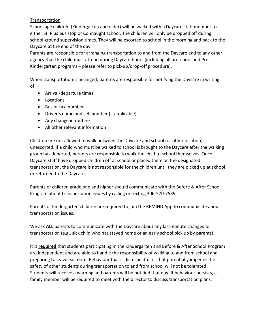#### Transportation

School age children (Kindergarten and older) will be walked with a Daycare staff member to either St. Pius bus stop or Connaught school. The children will only be dropped off during school ground supervision times. They will be escorted to school in the morning and back to the Daycare at the end of the day.

Parents are responsible for arranging transportation to and from the Daycare and to any other agency that the child must attend during Daycare hours (including all preschool and Pre-Kindergarten programs – please refer to pick-up/drop-off procedure).

When transportation is arranged, parents are responsible for notifying the Daycare in writing of:

- Arrival/departure times
- Locations
- Bus or taxi number
- Driver's name and cell number (if applicable)
- Any change in routine
- All other relevant information

Children are not allowed to walk between the Daycare and school (or other location) unescorted. If a child who must be walked to school is brought to the Daycare after the walking group has departed, parents are responsible to walk the child to school themselves. Once Daycare staff have dropped children off at school or placed them on the designated transportation, the Daycare is not responsible for the children until they are picked up at school or returned to the Daycare.

Parents of children grade one and higher should communicate with the Before & After School Program about transportation issues by calling or texting 306-570-7539.

Parents of Kindergarten children are required to join the REMIND App to communicate about transportation issues.

We ask **ALL** parents to communicate with the Daycare about any last-minute changes to transportation (e.g., sick child who has stayed home or an early school pick up by parents).

It is **required** that students participating in the Kindergarten and Before & After School Program are independent and are able to handle the responsibility of walking to and from school and preparing to leave each site. Behaviour that is disrespectful or that potentially impedes the safety of other students during transportation to and from school will not be tolerated. Students will receive a warning and parents will be notified that day. If behaviour persists, a family member will be required to meet with the director to discuss transportation plans.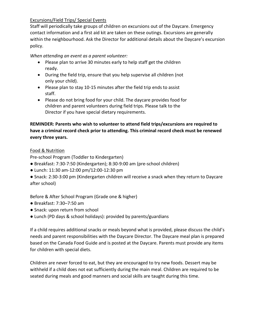#### Excursions/Field Trips/ Special Events

Staff will periodically take groups of children on excursions out of the Daycare. Emergency contact information and a first aid kit are taken on these outings. Excursions are generally within the neighbourhood. Ask the Director for additional details about the Daycare's excursion policy.

*When attending an event as a parent volunteer:*

- Please plan to arrive 30 minutes early to help staff get the children ready.
- During the field trip, ensure that you help supervise all children (not only your child).
- Please plan to stay 10-15 minutes after the field trip ends to assist staff.
- Please do not bring food for your child. The daycare provides food for children and parent volunteers during field trips. Please talk to the Director if you have special dietary requirements.

#### **REMINDER: Parents who wish to volunteer to attend field trips/excursions are required to have a criminal record check prior to attending. This criminal record check must be renewed every three years.**

#### Food & Nutrition

Pre-school Program (Toddler to Kindergarten)

- Breakfast: 7:30-7:50 (Kindergarten); 8:30-9:00 am (pre-school children)
- Lunch: 11:30 am-12:00 pm/12:00-12:30 pm
- Snack: 2:30-3:00 pm (Kindergarten children will receive a snack when they return to Daycare after school)

Before & After School Program (Grade one & higher)

- Breakfast: 7:30–7:50 am
- Snack: upon return from school
- Lunch (PD days & school holidays): provided by parents/guardians

If a child requires additional snacks or meals beyond what is provided, please discuss the child's needs and parent responsibilities with the Daycare Director. The Daycare meal plan is prepared based on the Canada Food Guide and is posted at the Daycare. Parents must provide any items for children with special diets.

Children are never forced to eat, but they are encouraged to try new foods. Dessert may be withheld if a child does not eat sufficiently during the main meal. Children are required to be seated during meals and good manners and social skills are taught during this time.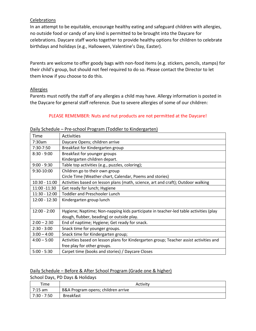#### Celebrations

In an attempt to be equitable, encourage healthy eating and safeguard children with allergies, no outside food or candy of any kind is permitted to be brought into the Daycare for celebrations. Daycare staff works together to provide healthy options for children to celebrate birthdays and holidays (e.g., Halloween, Valentine's Day, Easter).

Parents are welcome to offer goody bags with non-food items (e.g. stickers, pencils, stamps) for their child's group, but should not feel required to do so. Please contact the Director to let them know if you choose to do this.

#### Allergies

Parents must notify the staff of any allergies a child may have. Allergy information is posted in the Daycare for general staff reference. Due to severe allergies of some of our children:

#### PLEASE REMEMBER: Nuts and nut products are not permitted at the Daycare!

#### Time Activities 7:30am Daycare Opens; children arrive 7:30-7:50 Breakfast for Kindergarten group 8:30 - 9:00 | Breakfast for younger groups Kindergarten children depart. 9:00 - 9:30 **Fable top activities (e.g., puzzles, coloring)**; 9:30-10:00 | Children go to their own group Circle Time (Weather chart, Calendar, Poems and stories) 10:30 - 11:00  $\vert$  Activities based on lesson plans (math, science, art and craft); Outdoor walking 11:00 -11:30  $\Big|$  Get ready for lunch; Hygiene 11:30 - 12:00 | Toddler and Preschooler Lunch 12:00 - 12:30 | Kindergarten group lunch 12:00 - 2:00 Hygiene; Naptime; Non-napping kids participate in teacher-led table activities (play dough, flubber, beading) or outside play.  $2:00 - 2:30$  | End of naptime; Hygiene; Get ready for snack.  $2:30 - 3:00$  Snack time for younger groups.  $3:00 - 4:00$  Snack time for Kindergarten group; 4:00 – 5:00 Activities based on lesson plans for Kindergarten group; Teacher assist activities and free play for other groups. 5:00 - 5:30 Carpet time (books and stories) / Daycare Closes

#### Daily Schedule – Pre-school Program (Toddler to Kindergarten)

#### Daily Schedule – Before & After School Program (Grade one & higher)

School Days, PD Days & Holidays

| Time        | Activity                           |
|-------------|------------------------------------|
| 7:15 am     | B&A Program opens; children arrive |
| 7:30 - 7:50 | <b>Breakfast</b>                   |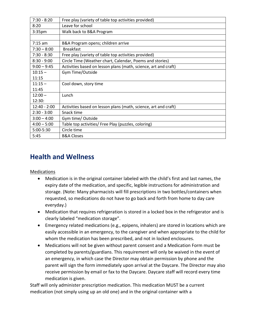| $7:30 - 8:20$      | Free play (variety of table top activities provided)            |
|--------------------|-----------------------------------------------------------------|
| 8:20               | Leave for school                                                |
| 3:35 <sub>pm</sub> | Walk back to B&A Program                                        |
|                    |                                                                 |
| $7:15$ am          | B&A Program opens; children arrive                              |
| $7:30 - 8:00$      | <b>Breakfast</b>                                                |
| $7:30 - 8:30$      | Free play (variety of table top activities provided)            |
| $8:30 - 9:00$      | Circle Time (Weather chart, Calendar, Poems and stories)        |
| $9:00 - 9:45$      | Activities based on lesson plans (math, science, art and craft) |
| $10:15 -$          | Gym Time/Outside                                                |
| 11:15              |                                                                 |
| $11:15 -$          | Cool down, story time                                           |
| 11:45              |                                                                 |
| $12:00 -$          | Lunch                                                           |
| 12:30:             |                                                                 |
| $12:40 - 2:00$     | Activities based on lesson plans (math, science, art and craft) |
| $2:30 - 3:00$      | Snack time                                                      |
| $3:00 - 4:00$      | Gym time/ Outside                                               |
| $4:00 - 5:00$      | Table top activities/ Free Play (puzzles, coloring)             |
| 5:00-5:30          | Circle time                                                     |
| 5:45               | <b>B&amp;A Closes</b>                                           |

## **Health and Wellness**

#### Medications

- Medication is in the original container labeled with the child's first and last names, the expiry date of the medication, and specific, legible instructions for administration and storage. (Note: Many pharmacists will fill prescriptions in two bottles/containers when requested, so medications do not have to go back and forth from home to day care everyday.)
- Medication that requires refrigeration is stored in a locked box in the refrigerator and is clearly labeled "medication storage".
- Emergency related medications (e.g., epipens, inhalers) are stored in locations which are easily accessible in an emergency, to the caregiver and when appropriate to the child for whom the medication has been prescribed, and not in locked enclosures.
- Medications will not be given without parent consent and a Medication Form must be completed by parents/guardians. This requirement will only be waived in the event of an emergency, in which case the Director may obtain permission by phone and the parent will sign the form immediately upon arrival at the Daycare. The Director may also receive permission by email or fax to the Daycare. Daycare staff will record every time medication is given.

Staff will only administer prescription medication. This medication MUST be a current medication (not simply using up an old one) and in the original container with a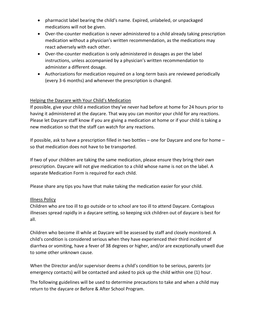- pharmacist label bearing the child's name. Expired, unlabeled, or unpackaged medications will not be given.
- Over-the-counter medication is never administered to a child already taking prescription medication without a physician's written recommendation, as the medications may react adversely with each other.
- Over-the-counter medication is only administered in dosages as per the label instructions, unless accompanied by a physician's written recommendation to administer a different dosage.
- Authorizations for medication required on a long-term basis are reviewed periodically (every 3-6 months) and whenever the prescription is changed.

#### Helping the Daycare with Your Child's Medication

If possible, give your child a medication they've never had before at home for 24 hours prior to having it administered at the daycare. That way you can monitor your child for any reactions. Please let Daycare staff know if you are giving a medication at home or if your child is taking a new medication so that the staff can watch for any reactions.

If possible, ask to have a prescription filled in two bottles – one for Daycare and one for home – so that medication does not have to be transported.

If two of your children are taking the same medication, please ensure they bring their own prescription. Daycare will not give medication to a child whose name is not on the label. A separate Medication Form is required for each child.

Please share any tips you have that make taking the medication easier for your child.

#### Illness Policy

Children who are too ill to go outside or to school are too ill to attend Daycare. Contagious illnesses spread rapidly in a daycare setting, so keeping sick children out of daycare is best for all.

Children who become ill while at Daycare will be assessed by staff and closely monitored. A child's condition is considered serious when they have experienced their third incident of diarrhea or vomiting, have a fever of 38 degrees or higher, and/or are exceptionally unwell due to some other unknown cause.

When the Director and/or supervisor deems a child's condition to be serious, parents (or emergency contacts) will be contacted and asked to pick up the child within one (1) hour.

The following guidelines will be used to determine precautions to take and when a child may return to the daycare or Before & After School Program.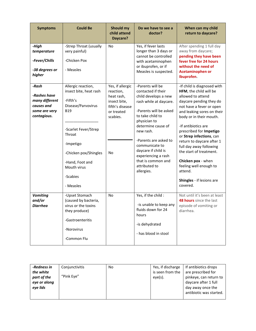| <b>Symptoms</b>                                                                       | <b>Could Be</b>                                                                                                                                                                                                                 | Should my<br>child attend<br>Daycare?                                                                          | Do we have to see a<br>doctor?                                                                                                                                                                                                                                                                                                          | When can my child<br>return to daycare?                                                                                                                                                                                                                                                                                                                                                                                                                         |
|---------------------------------------------------------------------------------------|---------------------------------------------------------------------------------------------------------------------------------------------------------------------------------------------------------------------------------|----------------------------------------------------------------------------------------------------------------|-----------------------------------------------------------------------------------------------------------------------------------------------------------------------------------------------------------------------------------------------------------------------------------------------------------------------------------------|-----------------------------------------------------------------------------------------------------------------------------------------------------------------------------------------------------------------------------------------------------------------------------------------------------------------------------------------------------------------------------------------------------------------------------------------------------------------|
| -High<br>temperature<br>-Fever/Chills<br>-38 degrees or<br>higher                     | -Strep Throat (usually<br>very painful)<br>-Chicken Pox<br>- Measles                                                                                                                                                            | <b>No</b>                                                                                                      | Yes, if fever lasts<br>longer than 3 days or<br>cannot be controlled<br>with acetaminophen<br>or ibuprofen, or if<br>Measles is suspected.                                                                                                                                                                                              | After spending 1 full day<br>away from daycare;<br>pending they have been<br>fever free for 24 hours<br>without the need of<br><b>Acetaminophen or</b><br>Ibuprofen.                                                                                                                                                                                                                                                                                            |
| -Rash<br>-Rashes have<br>many different<br>causes and<br>some are very<br>contagious. | Allergic reaction,<br>insect bite, heat rash<br>-Fifth's<br>Disease/Parvovirus<br><b>B19</b><br>-Scarlet Fever/Strep<br>Throat<br>-Impetigo<br>-Chicken pox/Shingles<br>-Hand, Foot and<br>Mouth virus<br>-Scabies<br>- Measles | Yes, if allergic<br>reaction,<br>heat rash,<br>insect bite,<br>fifth's disease<br>or treated<br>scabies.<br>No | -Parents will be<br>contacted if their<br>child develops a new<br>rash while at daycare.<br>-Parents will be asked<br>to take child to<br>physician to<br>determine cause of<br>new rash.<br>-Parents are asked to<br>communicate to<br>daycare if child is<br>experiencing a rash<br>that is common and<br>attributed to<br>allergies. | -If child is diagnosed with<br>HFM, the child will be<br>allowed to attend<br>daycare pending they do<br>not have a fever or open<br>and leaking sores on their<br>body or in their mouth.<br>-If antibiotics are<br>prescribed for Impetigo<br>or Strep infections, can<br>return to daycare after 1<br>full day away following<br>the start of treatment.<br>Chicken pox - when<br>feeling well enough to<br>attend.<br>Shingles - if lesions are<br>covered. |
| <b>Vomiting</b><br>and/or<br><b>Diarrhea</b>                                          | -Upset Stomach<br>(caused by bacteria,<br>virus or the toxins<br>they produce)<br>-Gastroenteritis<br>-Norovirus<br>-Common Flu                                                                                                 | No                                                                                                             | Yes, if the child :<br>-is unable to keep any<br>fluids down for 24<br>hours<br>-is dehydrated<br>- has blood in stool                                                                                                                                                                                                                  | Not until it's been at least<br>48 hours since the last<br>episode of vomiting or<br>diarrhea.                                                                                                                                                                                                                                                                                                                                                                  |

| If antibiotics drops<br>-Redness in<br>Yes, if discharge<br>No<br>Conjunctivitis                                                                                                                                             |  |
|------------------------------------------------------------------------------------------------------------------------------------------------------------------------------------------------------------------------------|--|
| is seen from the<br>are prescribed for<br>the white<br>"Pink Eye"<br>pinkeye, can return to<br>part of the<br>$eye(s)$ .<br>daycare after 1 full<br>eye or along<br>eye lids<br>day away once the<br>antibiotic was started. |  |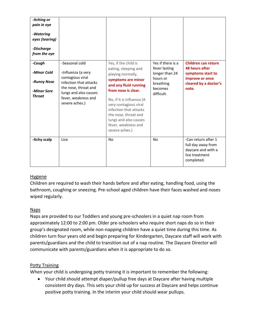| -Itching or<br>pain in eye<br>-Watering<br>eyes (tearing)<br>-Discharge<br>from the eye |                                                                                                                                                                              |                                                                                                                                                                                                                                                                                                                   |                                                                                                        |                                                                                                                 |
|-----------------------------------------------------------------------------------------|------------------------------------------------------------------------------------------------------------------------------------------------------------------------------|-------------------------------------------------------------------------------------------------------------------------------------------------------------------------------------------------------------------------------------------------------------------------------------------------------------------|--------------------------------------------------------------------------------------------------------|-----------------------------------------------------------------------------------------------------------------|
| -Cough<br>-Minor Cold<br>-Runny Nose<br>-Minor Sore<br><b>Throat</b>                    | -Seasonal cold<br>-Influenza (a very<br>contagious viral<br>infection that attacks<br>the nose, throat and<br>lungs and also causes<br>fever, weakness and<br>severe aches.) | Yes, if the child is<br>eating, sleeping and<br>playing normally,<br>symptoms are minor<br>and any fluid running<br>from nose is clear.<br>No, if it is influenza (A<br>very contagious viral<br>infection that attacks<br>the nose, throat and<br>lungs and also causes<br>fever, weakness and<br>severe aches.) | Yes if there is a<br>fever lasting<br>longer than 24<br>hours or<br>breathing<br>becomes<br>difficult. | Children can return<br>48 hours after<br>symptoms start to<br>improve or once<br>cleared by a doctor's<br>note. |
| -Itchy scalp                                                                            | Lice                                                                                                                                                                         | No                                                                                                                                                                                                                                                                                                                | N <sub>o</sub>                                                                                         | -Can return after 1<br>full day away from<br>daycare and with a<br>lice treatment<br>completed.                 |

#### **Hygiene**

Children are required to wash their hands before and after eating, handling food, using the bathroom, coughing or sneezing. Pre-school aged children have their faces washed and noses wiped regularly.

#### Naps

Naps are provided to our Toddlers and young pre-schoolers in a quiet nap room from approximately 12:00 to 2:00 pm. Older pre-schoolers who require short naps do so in their group's designated room, while non-napping children have a quiet time during this time. As children turn four years old and begin preparing for Kindergarten, Daycare staff will work with parents/guardians and the child to transition out of a nap routine. The Daycare Director will communicate with parents/guardians when it is appropriate to do so.

#### Potty Training

When your child is undergoing potty training it is important to remember the following:

• Your child should attempt diaper/pullup free days at Daycare after having multiple consistent dry days. This sets your child up for success at Daycare and helps continue positive potty training. In the interim your child should wear pullups.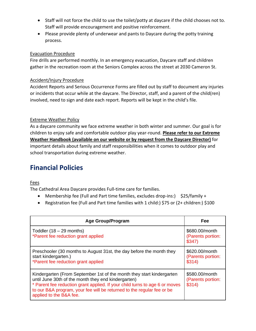- Staff will not force the child to use the toilet/potty at daycare if the child chooses not to. Staff will provide encouragement and positive reinforcement.
- Please provide plenty of underwear and pants to Daycare during the potty training process.

#### Evacuation Procedure

Fire drills are performed monthly. In an emergency evacuation, Daycare staff and children gather in the recreation room at the Seniors Complex across the street at 2030 Cameron St.

#### Accident/Injury Procedure

Accident Reports and Serious Occurrence Forms are filled out by staff to document any injuries or incidents that occur while at the daycare. The Director, staff, and a parent of the child(ren) involved, need to sign and date each report. Reports will be kept in the child's file.

#### Extreme Weather Policy

As a daycare community we face extreme weather in both winter and summer. Our goal is for children to enjoy safe and comfortable outdoor play year-round. **Please refer to our Extreme Weather Handbook (available on our website or by request from the Daycare Director)** for important details about family and staff responsibilities when it comes to outdoor play and school transportation during extreme weather.

## **Financial Policies**

#### Fees

The Cathedral Area Daycare provides Full-time care for families.

- Membership fee (Full and Part time families, excludes drop-ins:) \$25/family +
- Registration fee (Full and Part time families with 1 child:) \$75 or (2+ children:) \$100

| <b>Age Group/Program</b>                                                                                                                                                                                                                                                                                         | Fee                                           |
|------------------------------------------------------------------------------------------------------------------------------------------------------------------------------------------------------------------------------------------------------------------------------------------------------------------|-----------------------------------------------|
| Toddler $(18 - 29$ months)<br>*Parent fee reduction grant applied                                                                                                                                                                                                                                                | \$680.00/month<br>(Parents portion:<br>\$347  |
| Preschooler (30 months to August 31st, the day before the month they<br>start kindergarten.)<br>*Parent fee reduction grant applied                                                                                                                                                                              | \$620.00/month<br>(Parents portion:<br>\$314) |
| Kindergarten (From September 1st of the month they start kindergarten<br>until June 30th of the month they end kindergarten)<br>* Parent fee reduction grant applied. If your child turns to age 6 or moves<br>to our B&A program, your fee will be returned to the regular fee or be<br>applied to the B&A fee. | \$580.00/month<br>(Parents portion:<br>\$314) |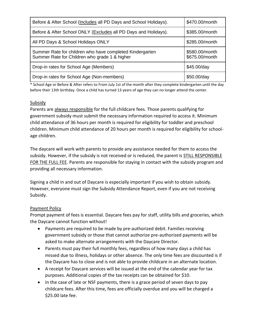| Before & After School (Includes all PD Days and School Holidays).                                         | \$470.00/month                   |
|-----------------------------------------------------------------------------------------------------------|----------------------------------|
| Before & After School ONLY (Excludes all PD Days and Holidays).                                           | \$385.00/month                   |
| All PD Days & School Holidays ONLY                                                                        | \$285.00/month                   |
| Summer Rate for children who have completed Kindergarten<br>Summer Rate for Children who grade 1 & higher | \$580.00/month<br>\$675.00/month |
| Drop-in rates for School Age (Members)                                                                    | \$45.00/day                      |
| Drop-in rates for School Age (Non-members)                                                                | \$50.00/day                      |

\* School Age or Before & After refers to From July 1st of the month after they complete kindergarten until the day before their 13th birthday. Once a child has turned 13 years of age they can no longer attend the center.

#### Subsidy

Parents are always responsible for the full childcare fees. Those parents qualifying for government subsidy must submit the necessary information required to access it. Minimum child attendance of 36 hours per month is required for eligibility for toddler and preschool children. Minimum child attendance of 20 hours per month is required for eligibility for schoolage children.

The daycare will work with parents to provide any assistance needed for them to access the subsidy. However, if the subsidy is not received or is reduced, the parent is **STILL RESPONSIBLE** FOR THE FULL FEE. Parents are responsible for staying in contact with the subsidy program and providing all necessary information.

Signing a child in and out of Daycare is especially important if you wish to obtain subsidy. However, everyone must sign the Subsidy Attendance Report, even if you are not receiving Subsidy.

#### Payment Policy

Prompt payment of fees is essential. Daycare fees pay for staff, utility bills and groceries, which the Daycare cannot function without!

- Payments are required to be made by pre-authorized debit. Families receiving government subsidy or those that cannot authorize pre-authorized payments will be asked to make alternate arrangements with the Daycare Director.
- Parents must pay their full monthly fees, regardless of how many days a child has missed due to illness, holidays or other absence. The only time fees are discounted is if the Daycare has to close and is not able to provide childcare in an alternate location.
- A receipt for Daycare services will be issued at the end of the calendar year for tax purposes. Additional copies of the tax receipts can be obtained for \$10.
- In the case of late or NSF payments, there is a grace period of seven days to pay childcare fees. After this time, fees are officially overdue and you will be charged a \$25.00 late fee.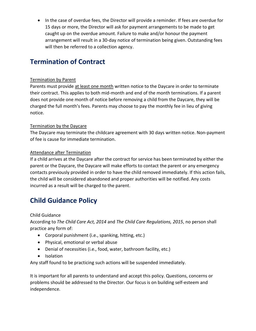• In the case of overdue fees, the Director will provide a reminder. If fees are overdue for 15 days or more, the Director will ask for payment arrangements to be made to get caught up on the overdue amount. Failure to make and/or honour the payment arrangement will result in a 30-day notice of termination being given. Outstanding fees will then be referred to a collection agency.

## **Termination of Contract**

#### Termination by Parent

Parents must provide at least one month written notice to the Daycare in order to terminate their contract. This applies to both mid-month and end of the month terminations. If a parent does not provide one month of notice before removing a child from the Daycare, they will be charged the full month's fees. Parents may choose to pay the monthly fee in lieu of giving notice.

#### Termination by the Daycare

The Daycare may terminate the childcare agreement with 30 days written notice. Non-payment of fee is cause for immediate termination.

#### Attendance after Termination

If a child arrives at the Daycare after the contract for service has been terminated by either the parent or the Daycare, the Daycare will make efforts to contact the parent or any emergency contacts previously provided in order to have the child removed immediately. If this action fails, the child will be considered abandoned and proper authorities will be notified. Any costs incurred as a result will be charged to the parent.

## **Child Guidance Policy**

Child Guidance

According to *The Child Care Act, 2014* and *The Child Care Regulations, 2015*, no person shall practice any form of:

- Corporal punishment (i.e., spanking, hitting, etc.)
- Physical, emotional or verbal abuse
- Denial of necessities (i.e., food, water, bathroom facility, etc.)
- Isolation

Any staff found to be practicing such actions will be suspended immediately.

It is important for all parents to understand and accept this policy. Questions, concerns or problems should be addressed to the Director. Our focus is on building self-esteem and independence.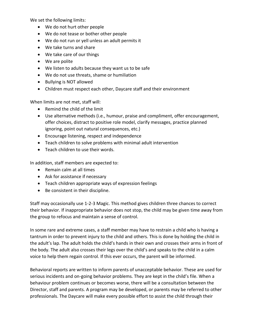We set the following limits:

- We do not hurt other people
- We do not tease or bother other people
- We do not run or yell unless an adult permits it
- We take turns and share
- We take care of our things
- We are polite
- We listen to adults because they want us to be safe
- We do not use threats, shame or humiliation
- Bullying is NOT allowed
- Children must respect each other, Daycare staff and their environment

When limits are not met, staff will:

- Remind the child of the limit
- Use alternative methods (i.e., humour, praise and compliment, offer encouragement, offer choices, distract to positive role model, clarify messages, practice planned ignoring, point out natural consequences, etc.)
- Encourage listening, respect and independence
- Teach children to solve problems with minimal adult intervention
- Teach children to use their words.

In addition, staff members are expected to:

- Remain calm at all times
- Ask for assistance if necessary
- Teach children appropriate ways of expression feelings
- Be consistent in their discipline.

Staff may occasionally use 1-2-3 Magic. This method gives children three chances to correct their behavior. If inappropriate behavior does not stop, the child may be given time away from the group to refocus and maintain a sense of control.

In some rare and extreme cases, a staff member may have to restrain a child who is having a tantrum in order to prevent injury to the child and others. This is done by holding the child in the adult's lap. The adult holds the child's hands in their own and crosses their arms in front of the body. The adult also crosses their legs over the child's and speaks to the child in a calm voice to help them regain control. If this ever occurs, the parent will be informed.

Behavioral reports are written to inform parents of unacceptable behavior. These are used for serious incidents and on-going behavior problems. They are kept in the child's file. When a behaviour problem continues or becomes worse, there will be a consultation between the Director, staff and parents. A program may be developed, or parents may be referred to other professionals. The Daycare will make every possible effort to assist the child through their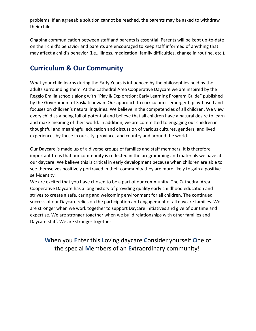problems. If an agreeable solution cannot be reached, the parents may be asked to withdraw their child.

Ongoing communication between staff and parents is essential. Parents will be kept up-to-date on their child's behavior and parents are encouraged to keep staff informed of anything that may affect a child's behavior (i.e., illness, medication, family difficulties, change in routine, etc.).

## **Curriculum & Our Community**

What your child learns during the Early Years is influenced by the philosophies held by the adults surrounding them. At the Cathedral Area Cooperative Daycare we are inspired by the Reggio Emilia schools along with "Play & Exploration: Early Learning Program Guide" published by the Government of Saskatchewan. Our approach to curriculum is emergent, play-based and focuses on children's natural inquiries. We believe in the competencies of all children. We view every child as a being full of potential and believe that all children have a natural desire to learn and make meaning of their world. In addition, we are committed to engaging our children in thoughtful and meaningful education and discussion of various cultures, genders, and lived experiences by those in our city, province, and country and around the world.

Our Daycare is made up of a diverse groups of families and staff members. It is therefore important to us that our community is reflected in the programming and materials we have at our daycare. We believe this is critical in early development because when children are able to see themselves positively portrayed in their community they are more likely to gain a positive self-identity.

We are excited that you have chosen to be a part of our community! The Cathedral Area Cooperative Daycare has a long history of providing quality early childhood education and strives to create a safe, caring and welcoming environment for all children. The continued success of our Daycare relies on the participation and engagement of all daycare families. We are stronger when we work together to support Daycare initiatives and give of our time and expertise. We are stronger together when we build relationships with other families and Daycare staff. We are stronger together.

### **W**hen you **E**nter this **L**oving daycare **C**onsider yourself **O**ne of the special **M**embers of an **E**xtraordinary community!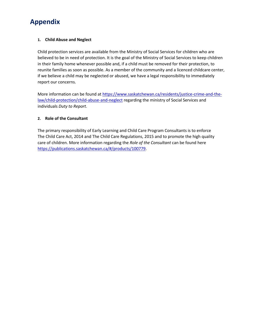## **Appendix**

#### **1. Child Abuse and Neglect**

Child protection services are available from the Ministry of Social Services for children who are believed to be in need of protection. It is the goal of the Ministry of Social Services to keep children in their family home whenever possible and, if a child must be removed for their protection, to reunite families as soon as possible. As a member of the community and a licenced childcare center, if we believe a child may be neglected or abused, we have a legal responsibility to immediately report our concerns.

More information can be found at [https://www.saskatchewan.ca/residents/justice-crime-and-the](https://www.saskatchewan.ca/residents/justice-crime-and-the-law/child-protection/child-abuse-and-neglect)[law/child-protection/child-abuse-and-neglect](https://www.saskatchewan.ca/residents/justice-crime-and-the-law/child-protection/child-abuse-and-neglect) regarding the ministry of Social Services and individuals *Duty to Report*.

#### **2. Role of the Consultant**

The primary responsibility of Early Learning and Child Care Program Consultants is to enforce The Child Care Act, 2014 and The Child Care Regulations, 2015 and to promote the high quality care of children. More information regarding the *Role of the Consultant* can be found here [https://publications.saskatchewan.ca/#/products/100779.](https://publications.saskatchewan.ca/#/products/100779)